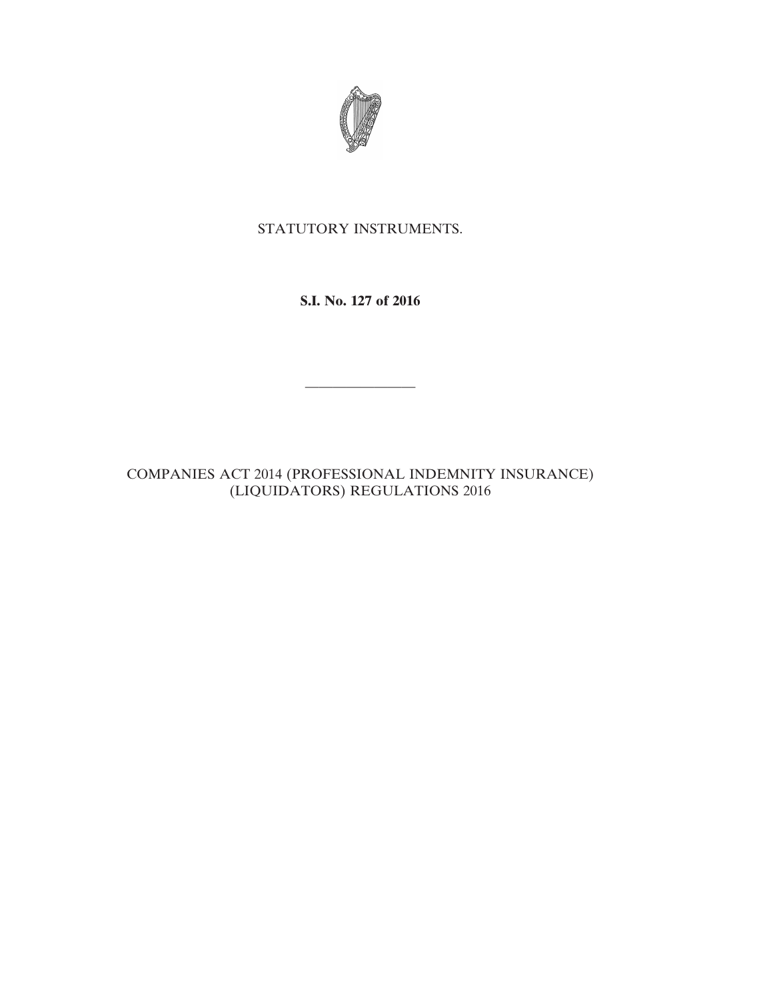

# STATUTORY INSTRUMENTS.

**S.I. No. 127 of 2016**

————————

COMPANIES ACT 2014 (PROFESSIONAL INDEMNITY INSURANCE) (LIQUIDATORS) REGULATIONS 2016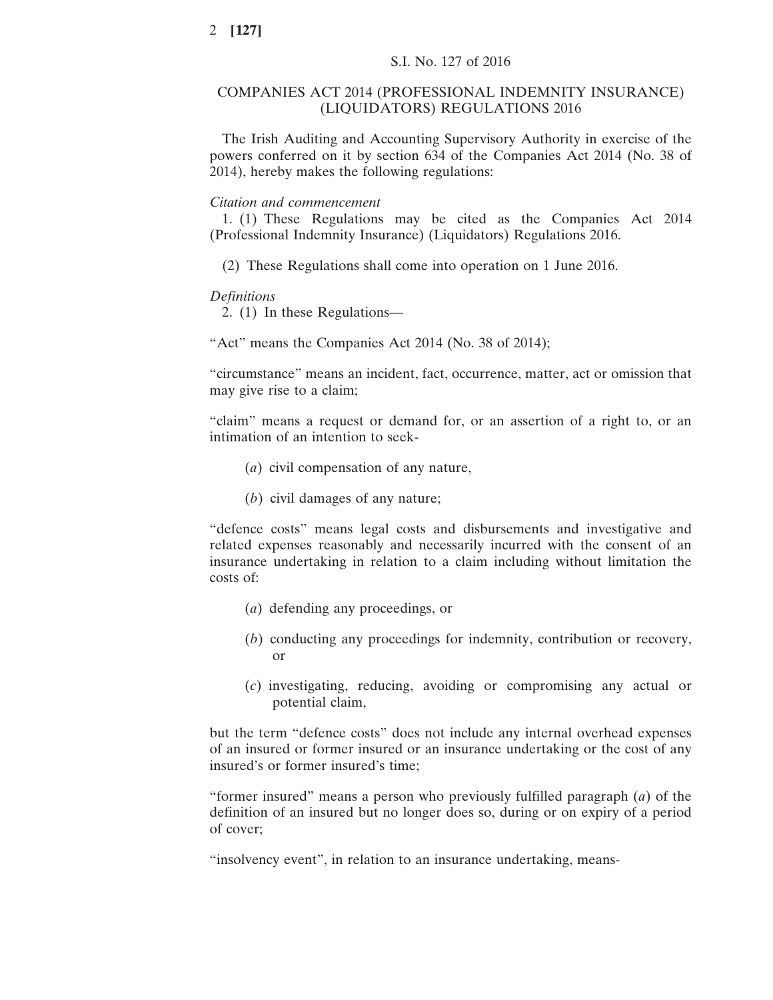# COMPANIES ACT 2014 (PROFESSIONAL INDEMNITY INSURANCE) (LIQUIDATORS) REGULATIONS 2016

The Irish Auditing and Accounting Supervisory Authority in exercise of the powers conferred on it by section 634 of the Companies Act 2014 (No. 38 of 2014), hereby makes the following regulations:

### *Citation and commencement*

1. (1) These Regulations may be cited as the Companies Act 2014 (Professional Indemnity Insurance) (Liquidators) Regulations 2016.

(2) These Regulations shall come into operation on 1 June 2016.

#### *Definitions*

2. (1) In these Regulations—

"Act" means the Companies Act 2014 (No. 38 of 2014);

"circumstance" means an incident, fact, occurrence, matter, act or omission that may give rise to a claim;

"claim" means a request or demand for, or an assertion of a right to, or an intimation of an intention to seek-

- (*a*) civil compensation of any nature,
- (*b*) civil damages of any nature;

"defence costs" means legal costs and disbursements and investigative and related expenses reasonably and necessarily incurred with the consent of an insurance undertaking in relation to a claim including without limitation the costs of:

- (*a*) defending any proceedings, or
- (*b*) conducting any proceedings for indemnity, contribution or recovery, or
- (*c*) investigating, reducing, avoiding or compromising any actual or potential claim,

but the term "defence costs" does not include any internal overhead expenses of an insured or former insured or an insurance undertaking or the cost of any insured's or former insured's time;

"former insured" means a person who previously fulfilled paragraph (*a*) of the definition of an insured but no longer does so, during or on expiry of a period of cover;

"insolvency event", in relation to an insurance undertaking, means-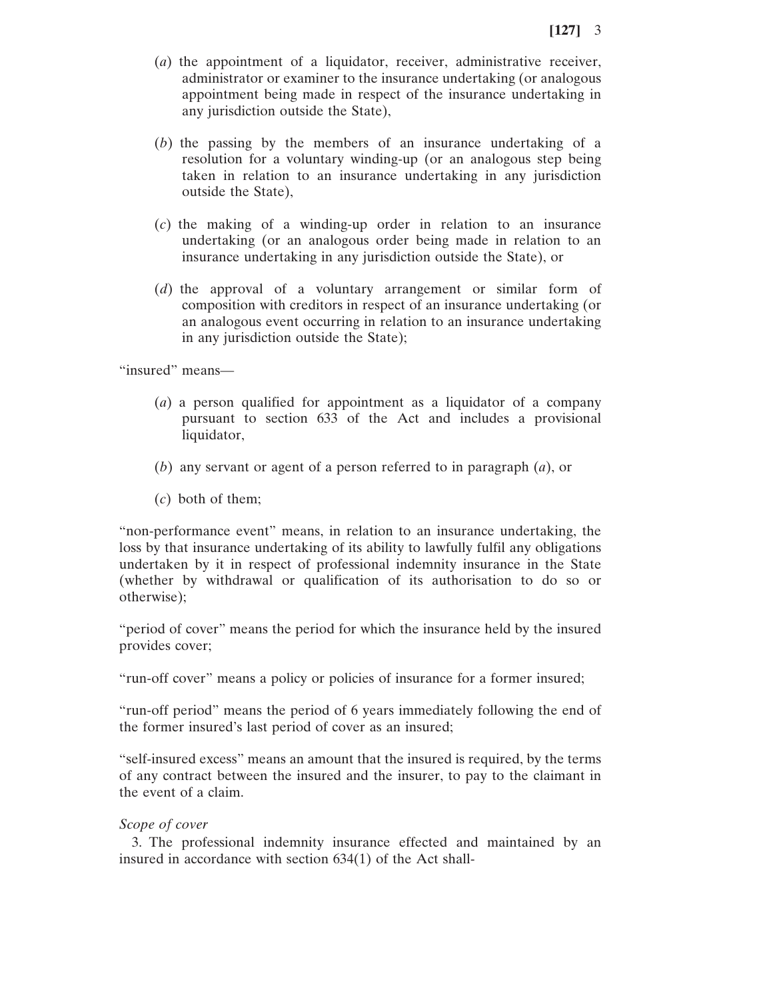- (*a*) the appointment of a liquidator, receiver, administrative receiver, administrator or examiner to the insurance undertaking (or analogous appointment being made in respect of the insurance undertaking in any jurisdiction outside the State),
- (*b*) the passing by the members of an insurance undertaking of a resolution for a voluntary winding-up (or an analogous step being taken in relation to an insurance undertaking in any jurisdiction outside the State),
- (*c*) the making of a winding-up order in relation to an insurance undertaking (or an analogous order being made in relation to an insurance undertaking in any jurisdiction outside the State), or
- (*d*) the approval of a voluntary arrangement or similar form of composition with creditors in respect of an insurance undertaking (or an analogous event occurring in relation to an insurance undertaking in any jurisdiction outside the State);

"insured" means—

- (*a*) a person qualified for appointment as a liquidator of a company pursuant to section 633 of the Act and includes a provisional liquidator,
- (*b*) any servant or agent of a person referred to in paragraph (*a*), or
- (*c*) both of them;

"non-performance event" means, in relation to an insurance undertaking, the loss by that insurance undertaking of its ability to lawfully fulfil any obligations undertaken by it in respect of professional indemnity insurance in the State (whether by withdrawal or qualification of its authorisation to do so or otherwise);

"period of cover" means the period for which the insurance held by the insured provides cover;

"run-off cover" means a policy or policies of insurance for a former insured;

"run-off period" means the period of 6 years immediately following the end of the former insured's last period of cover as an insured;

"self-insured excess" means an amount that the insured is required, by the terms of any contract between the insured and the insurer, to pay to the claimant in the event of a claim.

### *Scope of cover*

3. The professional indemnity insurance effected and maintained by an insured in accordance with section 634(1) of the Act shall-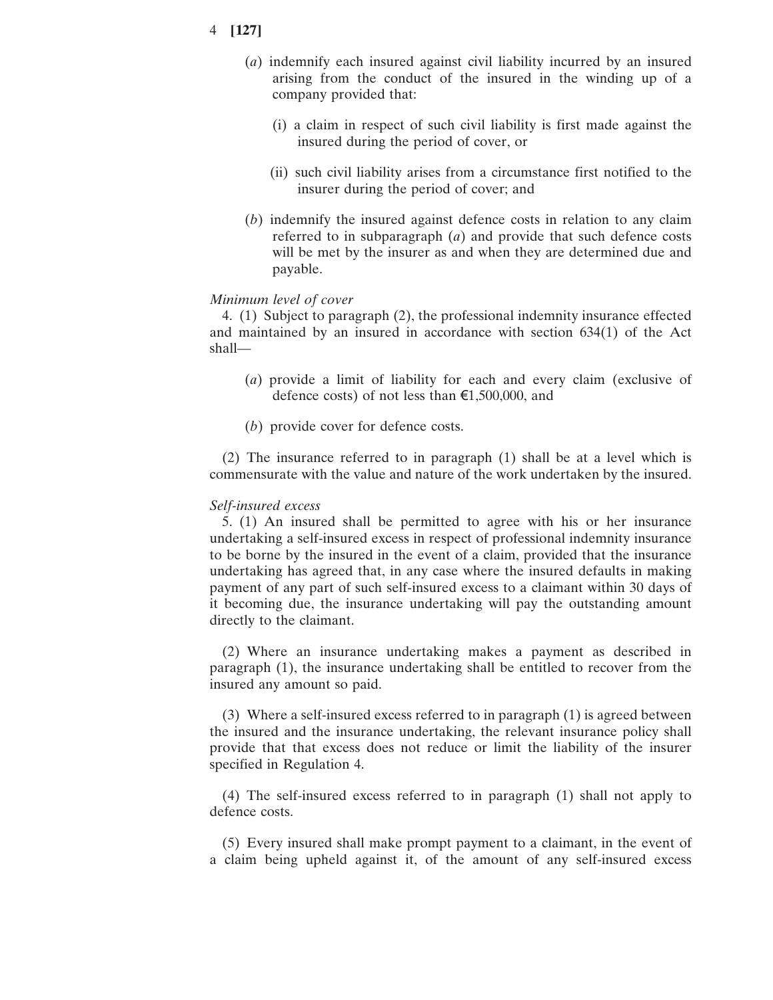# 4 **[127]**

- (*a*) indemnify each insured against civil liability incurred by an insured arising from the conduct of the insured in the winding up of a company provided that:
	- (i) a claim in respect of such civil liability is first made against the insured during the period of cover, or
	- (ii) such civil liability arises from a circumstance first notified to the insurer during the period of cover; and
- (*b*) indemnify the insured against defence costs in relation to any claim referred to in subparagraph (*a*) and provide that such defence costs will be met by the insurer as and when they are determined due and payable.

### *Minimum level of cover*

4. (1) Subject to paragraph (2), the professional indemnity insurance effected and maintained by an insured in accordance with section 634(1) of the Act shall—

- (*a*) provide a limit of liability for each and every claim (exclusive of defence costs) of not less than  $\epsilon$ 1,500,000, and
- (*b*) provide cover for defence costs.

(2) The insurance referred to in paragraph (1) shall be at a level which is commensurate with the value and nature of the work undertaken by the insured.

#### *Self-insured excess*

5. (1) An insured shall be permitted to agree with his or her insurance undertaking a self-insured excess in respect of professional indemnity insurance to be borne by the insured in the event of a claim, provided that the insurance undertaking has agreed that, in any case where the insured defaults in making payment of any part of such self-insured excess to a claimant within 30 days of it becoming due, the insurance undertaking will pay the outstanding amount directly to the claimant.

(2) Where an insurance undertaking makes a payment as described in paragraph (1), the insurance undertaking shall be entitled to recover from the insured any amount so paid.

(3) Where a self-insured excess referred to in paragraph (1) is agreed between the insured and the insurance undertaking, the relevant insurance policy shall provide that that excess does not reduce or limit the liability of the insurer specified in Regulation 4.

(4) The self-insured excess referred to in paragraph (1) shall not apply to defence costs.

(5) Every insured shall make prompt payment to a claimant, in the event of a claim being upheld against it, of the amount of any self-insured excess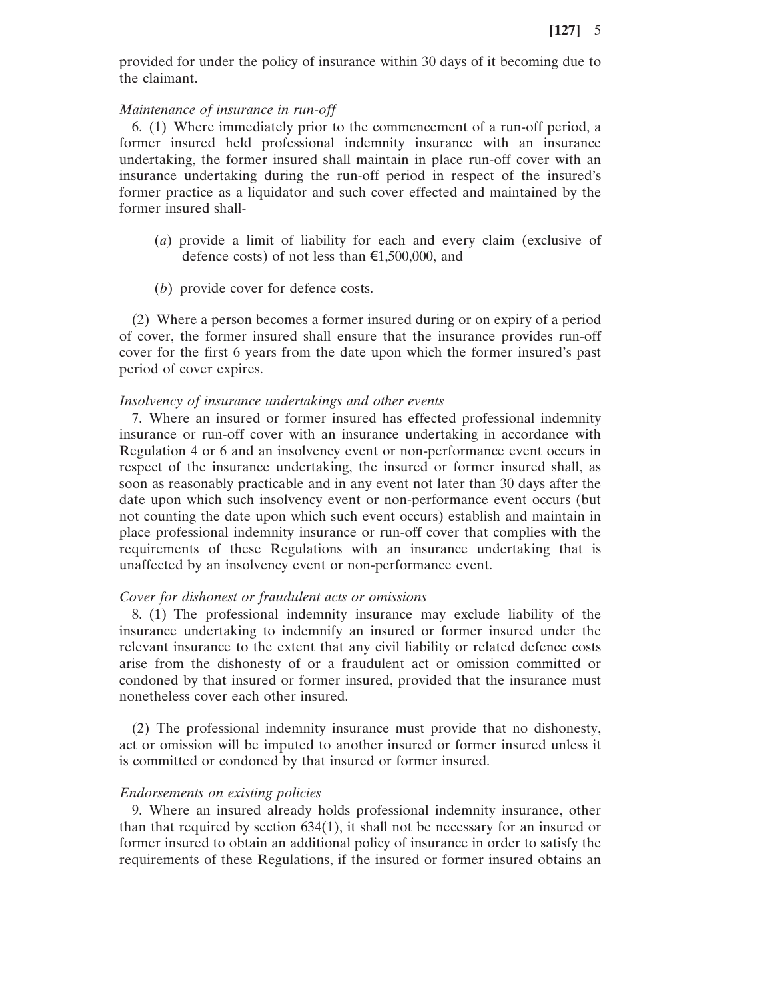provided for under the policy of insurance within 30 days of it becoming due to the claimant.

### *Maintenance of insurance in run-off*

6. (1) Where immediately prior to the commencement of a run-off period, a former insured held professional indemnity insurance with an insurance undertaking, the former insured shall maintain in place run-off cover with an insurance undertaking during the run-off period in respect of the insured's former practice as a liquidator and such cover effected and maintained by the former insured shall-

- (*a*) provide a limit of liability for each and every claim (exclusive of defence costs) of not less than €1,500,000, and
- (*b*) provide cover for defence costs.

(2) Where a person becomes a former insured during or on expiry of a period of cover, the former insured shall ensure that the insurance provides run-off cover for the first 6 years from the date upon which the former insured's past period of cover expires.

#### *Insolvency of insurance undertakings and other events*

7. Where an insured or former insured has effected professional indemnity insurance or run-off cover with an insurance undertaking in accordance with Regulation 4 or 6 and an insolvency event or non-performance event occurs in respect of the insurance undertaking, the insured or former insured shall, as soon as reasonably practicable and in any event not later than 30 days after the date upon which such insolvency event or non-performance event occurs (but not counting the date upon which such event occurs) establish and maintain in place professional indemnity insurance or run-off cover that complies with the requirements of these Regulations with an insurance undertaking that is unaffected by an insolvency event or non-performance event.

### *Cover for dishonest or fraudulent acts or omissions*

8. (1) The professional indemnity insurance may exclude liability of the insurance undertaking to indemnify an insured or former insured under the relevant insurance to the extent that any civil liability or related defence costs arise from the dishonesty of or a fraudulent act or omission committed or condoned by that insured or former insured, provided that the insurance must nonetheless cover each other insured.

(2) The professional indemnity insurance must provide that no dishonesty, act or omission will be imputed to another insured or former insured unless it is committed or condoned by that insured or former insured.

# *Endorsements on existing policies*

9. Where an insured already holds professional indemnity insurance, other than that required by section 634(1), it shall not be necessary for an insured or former insured to obtain an additional policy of insurance in order to satisfy the requirements of these Regulations, if the insured or former insured obtains an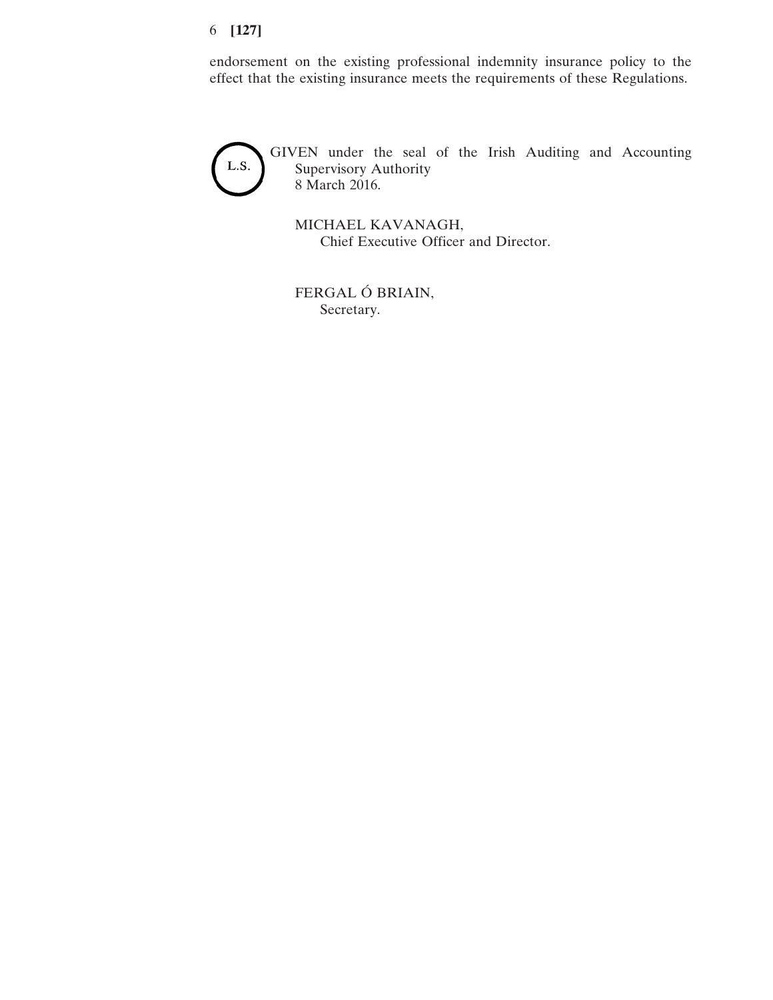# 6 **[127]**

endorsement on the existing professional indemnity insurance policy to the effect that the existing insurance meets the requirements of these Regulations.



GIVEN under the seal of the Irish Auditing and Accounting Supervisory Authority 8 March 2016.

MICHAEL KAVANAGH, Chief Executive Officer and Director.

FERGAL Ó BRIAIN, Secretary.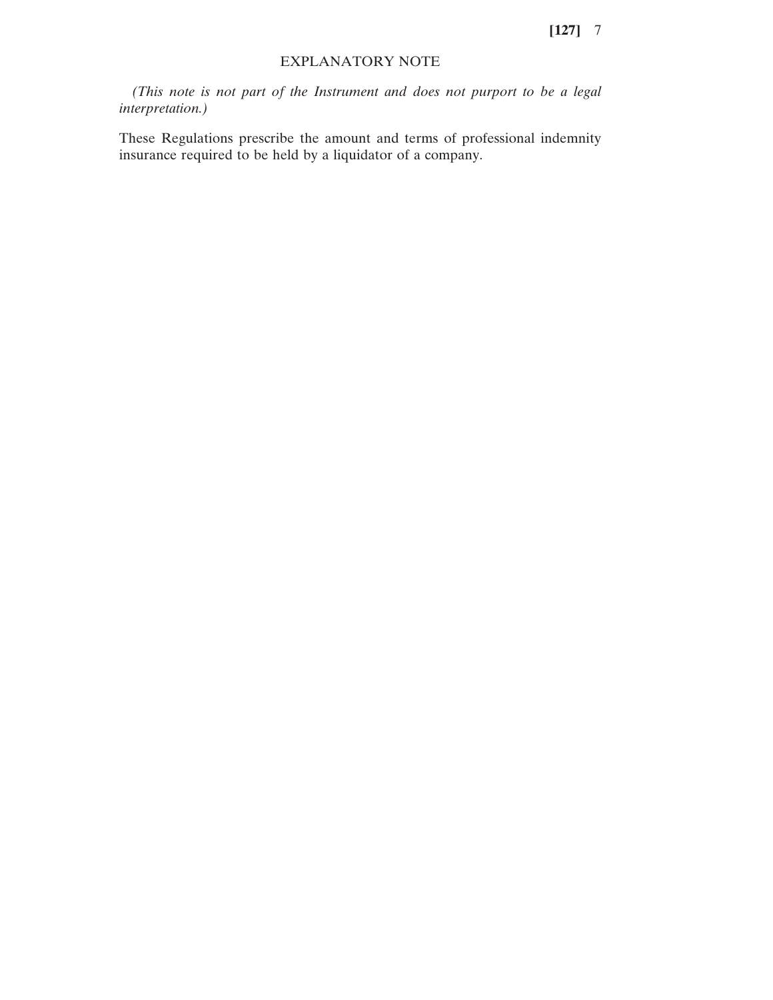**[127]** 7

# EXPLANATORY NOTE

*(This note is not part of the Instrument and does not purport to be a legal interpretation.)*

These Regulations prescribe the amount and terms of professional indemnity insurance required to be held by a liquidator of a company.